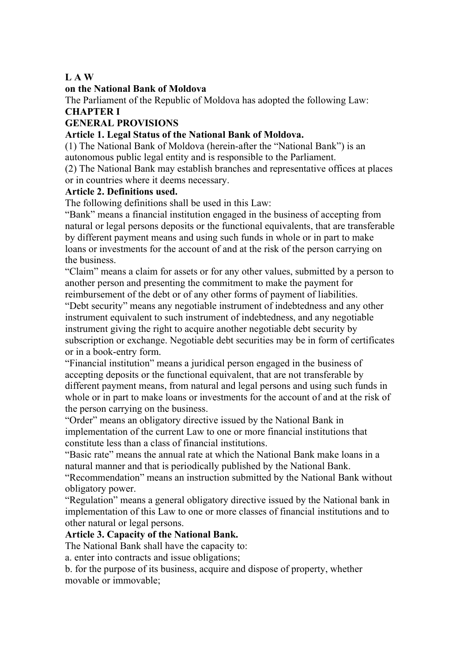#### **L A W**

#### **on the National Bank of Moldova**

The Parliament of the Republic of Moldova has adopted the following Law:

## **CHAPTER I**

## **GENERAL PROVISIONS**

#### **Article 1. Legal Status of the National Bank of Moldova.**

(1) The National Bank of Moldova (herein-after the "National Bank") is an autonomous public legal entity and is responsible to the Parliament.

(2) The National Bank may establish branches and representative offices at places or in countries where it deems necessary.

#### **Article 2. Definitions used.**

The following definitions shall be used in this Law:

"Bank" means a financial institution engaged in the business of accepting from natural or legal persons deposits or the functional equivalents, that are transferable by different payment means and using such funds in whole or in part to make loans or investments for the account of and at the risk of the person carrying on the business.

"Claim" means a claim for assets or for any other values, submitted by a person to another person and presenting the commitment to make the payment for reimbursement of the debt or of any other forms of payment of liabilities.

"Debt security" means any negotiable instrument of indebtedness and any other instrument equivalent to such instrument of indebtedness, and any negotiable instrument giving the right to acquire another negotiable debt security by subscription or exchange. Negotiable debt securities may be in form of certificates or in a book-entry form.

"Financial institution" means a juridical person engaged in the business of accepting deposits or the functional equivalent, that are not transferable by different payment means, from natural and legal persons and using such funds in whole or in part to make loans or investments for the account of and at the risk of the person carrying on the business.

"Order" means an obligatory directive issued by the National Bank in implementation of the current Law to one or more financial institutions that constitute less than a class of financial institutions.

"Basic rate" means the annual rate at which the National Bank make loans in a natural manner and that is periodically published by the National Bank.

"Recommendation" means an instruction submitted by the National Bank without obligatory power.

"Regulation" means a general obligatory directive issued by the National bank in implementation of this Law to one or more classes of financial institutions and to other natural or legal persons.

#### **Article 3. Capacity of the National Bank.**

The National Bank shall have the capacity to:

a. enter into contracts and issue obligations;

b. for the purpose of its business, acquire and dispose of property, whether movable or immovable;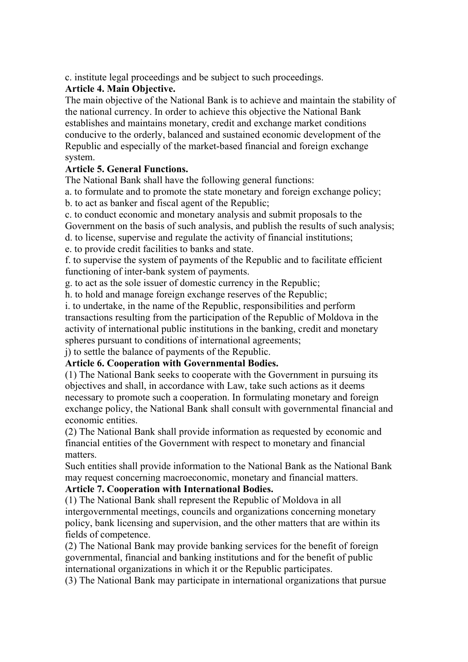c. institute legal proceedings and be subject to such proceedings.

## **Article 4. Main Objective.**

The main objective of the National Bank is to achieve and maintain the stability of the national currency. In order to achieve this objective the National Bank establishes and maintains monetary, credit and exchange market conditions conducive to the orderly, balanced and sustained economic development of the Republic and especially of the market-based financial and foreign exchange system.

## **Article 5. General Functions.**

The National Bank shall have the following general functions:

a. to formulate and to promote the state monetary and foreign exchange policy;

b. to act as banker and fiscal agent of the Republic;

c. to conduct economic and monetary analysis and submit proposals to the Government on the basis of such analysis, and publish the results of such analysis;

d. to license, supervise and regulate the activity of financial institutions;

e. to provide credit facilities to banks and state.

f. to supervise the system of payments of the Republic and to facilitate efficient functioning of inter-bank system of payments.

g. to act as the sole issuer of domestic currency in the Republic;

h. to hold and manage foreign exchange reserves of the Republic;

i. to undertake, in the name of the Republic, responsibilities and perform transactions resulting from the participation of the Republic of Moldova in the activity of international public institutions in the banking, credit and monetary spheres pursuant to conditions of international agreements;

j) to settle the balance of payments of the Republic.

## **Article 6. Cooperation with Governmental Bodies.**

(1) The National Bank seeks to cooperate with the Government in pursuing its objectives and shall, in accordance with Law, take such actions as it deems necessary to promote such a cooperation. In formulating monetary and foreign exchange policy, the National Bank shall consult with governmental financial and economic entities.

(2) The National Bank shall provide information as requested by economic and financial entities of the Government with respect to monetary and financial matters.

Such entities shall provide information to the National Bank as the National Bank may request concerning macroeconomic, monetary and financial matters.

## **Article 7. Cooperation with International Bodies.**

(1) The National Bank shall represent the Republic of Moldova in all intergovernmental meetings, councils and organizations concerning monetary policy, bank licensing and supervision, and the other matters that are within its fields of competence.

(2) The National Bank may provide banking services for the benefit of foreign governmental, financial and banking institutions and for the benefit of public international organizations in which it or the Republic participates.

(3) The National Bank may participate in international organizations that pursue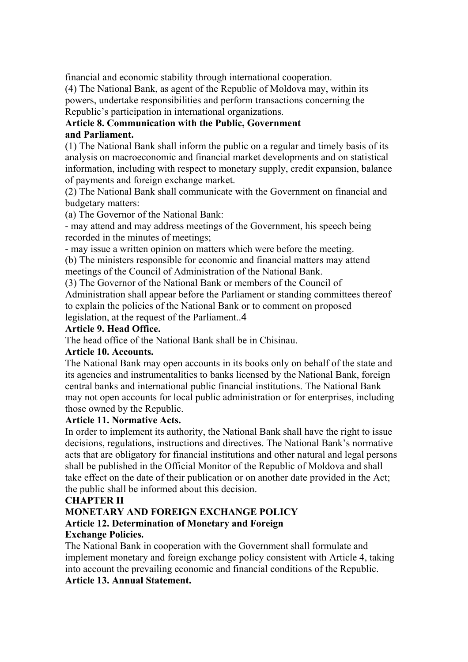financial and economic stability through international cooperation.

(4) The National Bank, as agent of the Republic of Moldova may, within its powers, undertake responsibilities and perform transactions concerning the Republic's participation in international organizations.

## **Article 8. Communication with the Public, Government and Parliament.**

(1) The National Bank shall inform the public on a regular and timely basis of its analysis on macroeconomic and financial market developments and on statistical information, including with respect to monetary supply, credit expansion, balance of payments and foreign exchange market.

(2) The National Bank shall communicate with the Government on financial and budgetary matters:

(a) The Governor of the National Bank:

- may attend and may address meetings of the Government, his speech being recorded in the minutes of meetings;

- may issue a written opinion on matters which were before the meeting.

(b) The ministers responsible for economic and financial matters may attend meetings of the Council of Administration of the National Bank.

(3) The Governor of the National Bank or members of the Council of

Administration shall appear before the Parliament or standing committees thereof to explain the policies of the National Bank or to comment on proposed

legislation, at the request of the Parliament..4

## **Article 9. Head Office.**

The head office of the National Bank shall be in Chisinau.

#### **Article 10. Accounts.**

The National Bank may open accounts in its books only on behalf of the state and its agencies and instrumentalities to banks licensed by the National Bank, foreign central banks and international public financial institutions. The National Bank may not open accounts for local public administration or for enterprises, including those owned by the Republic.

#### **Article 11. Normative Acts.**

In order to implement its authority, the National Bank shall have the right to issue decisions, regulations, instructions and directives. The National Bank's normative acts that are obligatory for financial institutions and other natural and legal persons shall be published in the Official Monitor of the Republic of Moldova and shall take effect on the date of their publication or on another date provided in the Act; the public shall be informed about this decision.

#### **CHAPTER II**

# **MONETARY AND FOREIGN EXCHANGE POLICY Article 12. Determination of Monetary and Foreign**

## **Exchange Policies.**

The National Bank in cooperation with the Government shall formulate and implement monetary and foreign exchange policy consistent with Article 4, taking into account the prevailing economic and financial conditions of the Republic. **Article 13. Annual Statement.**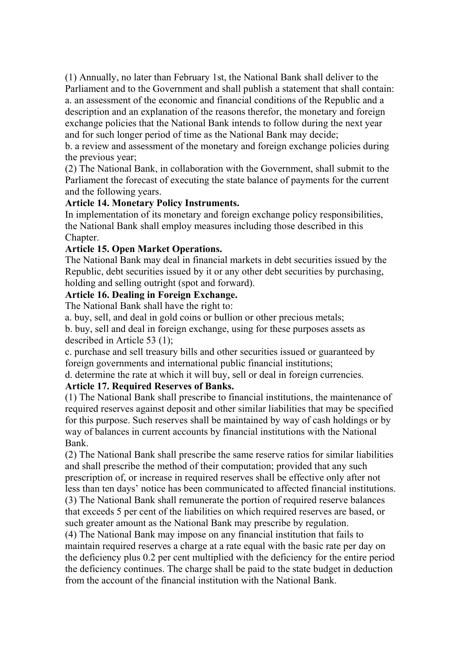(1) Annually, no later than February 1st, the National Bank shall deliver to the Parliament and to the Government and shall publish a statement that shall contain: a. an assessment of the economic and financial conditions of the Republic and a description and an explanation of the reasons therefor, the monetary and foreign exchange policies that the National Bank intends to follow during the next year and for such longer period of time as the National Bank may decide;

b. a review and assessment of the monetary and foreign exchange policies during the previous year;

(2) The National Bank, in collaboration with the Government, shall submit to the Parliament the forecast of executing the state balance of payments for the current and the following years.

#### **Article 14. Monetary Policy Instruments.**

In implementation of its monetary and foreign exchange policy responsibilities, the National Bank shall employ measures including those described in this Chapter.

#### **Article 15. Open Market Operations.**

The National Bank may deal in financial markets in debt securities issued by the Republic, debt securities issued by it or any other debt securities by purchasing, holding and selling outright (spot and forward).

#### **Article 16. Dealing in Foreign Exchange.**

The National Bank shall have the right to:

a. buy, sell, and deal in gold coins or bullion or other precious metals;

b. buy, sell and deal in foreign exchange, using for these purposes assets as described in Article 53 (1);

c. purchase and sell treasury bills and other securities issued or guaranteed by foreign governments and international public financial institutions;

d. determine the rate at which it will buy, sell or deal in foreign currencies. **Article 17. Required Reserves of Banks.** 

(1) The National Bank shall prescribe to financial institutions, the maintenance of required reserves against deposit and other similar liabilities that may be specified for this purpose. Such reserves shall be maintained by way of cash holdings or by way of balances in current accounts by financial institutions with the National Bank.

(2) The National Bank shall prescribe the same reserve ratios for similar liabilities and shall prescribe the method of their computation; provided that any such prescription of, or increase in required reserves shall be effective only after not less than ten days' notice has been communicated to affected financial institutions. (3) The National Bank shall remunerate the portion of required reserve balances that exceeds 5 per cent of the liabilities on which required reserves are based, or such greater amount as the National Bank may prescribe by regulation.

(4) The National Bank may impose on any financial institution that fails to maintain required reserves a charge at a rate equal with the basic rate per day on the deficiency plus 0.2 per cent multiplied with the deficiency for the entire period the deficiency continues. The charge shall be paid to the state budget in deduction from the account of the financial institution with the National Bank.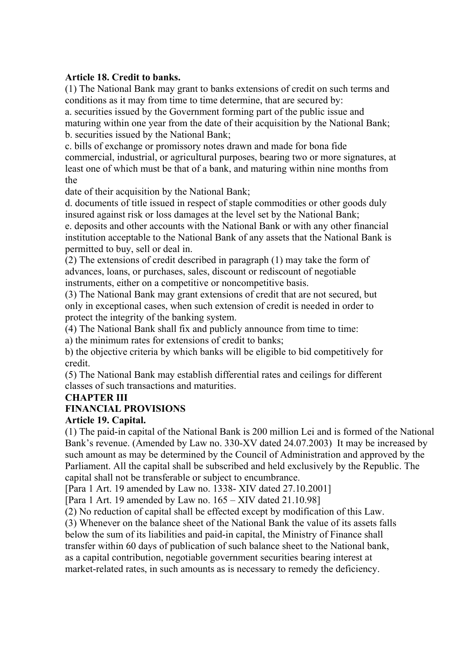#### **Article 18. Credit to banks.**

(1) The National Bank may grant to banks extensions of credit on such terms and conditions as it may from time to time determine, that are secured by:

a. securities issued by the Government forming part of the public issue and maturing within one year from the date of their acquisition by the National Bank; b. securities issued by the National Bank;

c. bills of exchange or promissory notes drawn and made for bona fide commercial, industrial, or agricultural purposes, bearing two or more signatures, at least one of which must be that of a bank, and maturing within nine months from the

date of their acquisition by the National Bank;

d. documents of title issued in respect of staple commodities or other goods duly insured against risk or loss damages at the level set by the National Bank;

e. deposits and other accounts with the National Bank or with any other financial institution acceptable to the National Bank of any assets that the National Bank is permitted to buy, sell or deal in.

(2) The extensions of credit described in paragraph (1) may take the form of advances, loans, or purchases, sales, discount or rediscount of negotiable instruments, either on a competitive or noncompetitive basis.

(3) The National Bank may grant extensions of credit that are not secured, but only in exceptional cases, when such extension of credit is needed in order to protect the integrity of the banking system.

(4) The National Bank shall fix and publicly announce from time to time:

a) the minimum rates for extensions of credit to banks;

b) the objective criteria by which banks will be eligible to bid competitively for credit.

(5) The National Bank may establish differential rates and ceilings for different classes of such transactions and maturities.

## **CHAPTER III**

## **FINANCIAL PROVISIONS**

#### **Article 19. Capital.**

(1) The paid-in capital of the National Bank is 200 million Lei and is formed of the National Bank's revenue. (Amended by Law no. 330-XV dated 24.07.2003) It may be increased by such amount as may be determined by the Council of Administration and approved by the Parliament. All the capital shall be subscribed and held exclusively by the Republic. The capital shall not be transferable or subject to encumbrance.

[Para 1 Art. 19 amended by Law no. 1338- XIV dated 27.10.2001]

[Para 1 Art. 19 amended by Law no. 165 – XIV dated 21.10.98]

(2) No reduction of capital shall be effected except by modification of this Law.

(3) Whenever on the balance sheet of the National Bank the value of its assets falls below the sum of its liabilities and paid-in capital, the Ministry of Finance shall transfer within 60 days of publication of such balance sheet to the National bank, as a capital contribution, negotiable government securities bearing interest at market-related rates, in such amounts as is necessary to remedy the deficiency.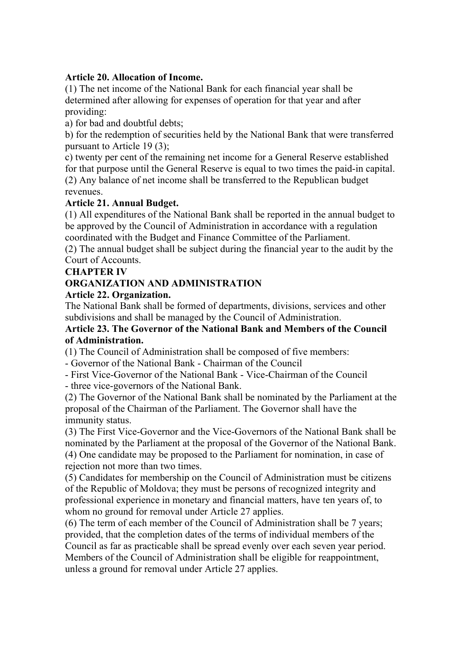#### **Article 20. Allocation of Income.**

(1) The net income of the National Bank for each financial year shall be determined after allowing for expenses of operation for that year and after providing:

a) for bad and doubtful debts;

b) for the redemption of securities held by the National Bank that were transferred pursuant to Article 19 (3);

c) twenty per cent of the remaining net income for a General Reserve established for that purpose until the General Reserve is equal to two times the paid-in capital. (2) Any balance of net income shall be transferred to the Republican budget revenues.

#### **Article 21. Annual Budget.**

(1) All expenditures of the National Bank shall be reported in the annual budget to be approved by the Council of Administration in accordance with a regulation coordinated with the Budget and Finance Committee of the Parliament.

(2) The annual budget shall be subject during the financial year to the audit by the Court of Accounts.

#### **CHAPTER IV**

#### **ORGANIZATION AND ADMINISTRATION**

#### **Article 22. Organization.**

The National Bank shall be formed of departments, divisions, services and other subdivisions and shall be managed by the Council of Administration.

#### **Article 23. The Governor of the National Bank and Members of the Council of Administration.**

(1) The Council of Administration shall be composed of five members:

- Governor of the National Bank - Chairman of the Council

- First Vice-Governor of the National Bank - Vice-Chairman of the Council - three vice-governors of the National Bank.

(2) The Governor of the National Bank shall be nominated by the Parliament at the proposal of the Chairman of the Parliament. The Governor shall have the immunity status.

(3) The First Vice-Governor and the Vice-Governors of the National Bank shall be nominated by the Parliament at the proposal of the Governor of the National Bank. (4) One candidate may be proposed to the Parliament for nomination, in case of rejection not more than two times.

(5) Candidates for membership on the Council of Administration must be citizens of the Republic of Moldova; they must be persons of recognized integrity and professional experience in monetary and financial matters, have ten years of, to whom no ground for removal under Article 27 applies.

(6) The term of each member of the Council of Administration shall be 7 years; provided, that the completion dates of the terms of individual members of the Council as far as practicable shall be spread evenly over each seven year period. Members of the Council of Administration shall be eligible for reappointment, unless a ground for removal under Article 27 applies.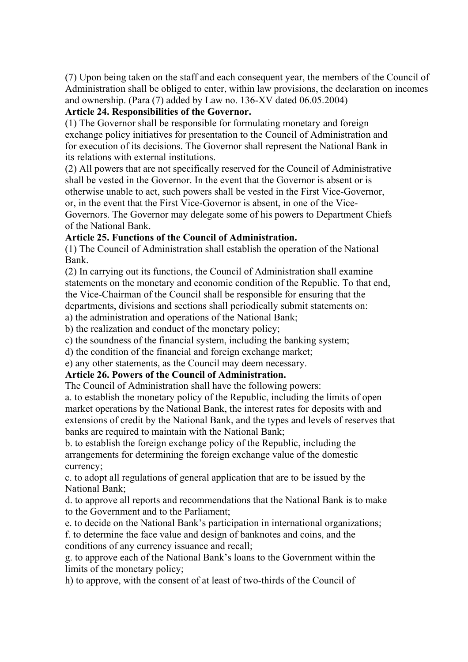(7) Upon being taken on the staff and each consequent year, the members of the Council of Administration shall be obliged to enter, within law provisions, the declaration on incomes and ownership. (Para (7) added by Law no. 136-XV dated 06.05.2004)

#### **Article 24. Responsibilities of the Governor.**

(1) The Governor shall be responsible for formulating monetary and foreign exchange policy initiatives for presentation to the Council of Administration and for execution of its decisions. The Governor shall represent the National Bank in its relations with external institutions.

(2) All powers that are not specifically reserved for the Council of Administrative shall be vested in the Governor. In the event that the Governor is absent or is otherwise unable to act, such powers shall be vested in the First Vice-Governor, or, in the event that the First Vice-Governor is absent, in one of the Vice-

Governors. The Governor may delegate some of his powers to Department Chiefs of the National Bank.

#### **Article 25. Functions of the Council of Administration.**

(1) The Council of Administration shall establish the operation of the National Bank.

(2) In carrying out its functions, the Council of Administration shall examine statements on the monetary and economic condition of the Republic. To that end, the Vice-Chairman of the Council shall be responsible for ensuring that the departments, divisions and sections shall periodically submit statements on:

a) the administration and operations of the National Bank;

b) the realization and conduct of the monetary policy;

c) the soundness of the financial system, including the banking system;

d) the condition of the financial and foreign exchange market;

e) any other statements, as the Council may deem necessary.

#### **Article 26. Powers of the Council of Administration.**

The Council of Administration shall have the following powers:

a. to establish the monetary policy of the Republic, including the limits of open market operations by the National Bank, the interest rates for deposits with and extensions of credit by the National Bank, and the types and levels of reserves that banks are required to maintain with the National Bank;

b. to establish the foreign exchange policy of the Republic, including the arrangements for determining the foreign exchange value of the domestic currency;

c. to adopt all regulations of general application that are to be issued by the National Bank;

d. to approve all reports and recommendations that the National Bank is to make to the Government and to the Parliament;

e. to decide on the National Bank's participation in international organizations; f. to determine the face value and design of banknotes and coins, and the

conditions of any currency issuance and recall;

g. to approve each of the National Bank's loans to the Government within the limits of the monetary policy;

h) to approve, with the consent of at least of two-thirds of the Council of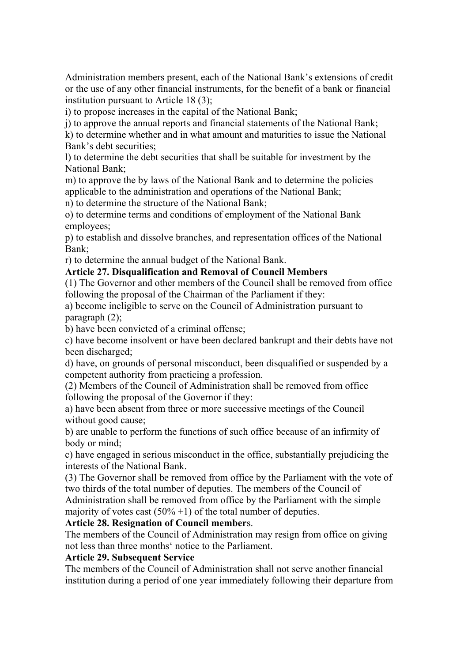Administration members present, each of the National Bank's extensions of credit or the use of any other financial instruments, for the benefit of a bank or financial institution pursuant to Article 18 (3);

i) to propose increases in the capital of the National Bank;

j) to approve the annual reports and financial statements of the National Bank;

k) to determine whether and in what amount and maturities to issue the National Bank's debt securities;

l) to determine the debt securities that shall be suitable for investment by the National Bank;

m) to approve the by laws of the National Bank and to determine the policies applicable to the administration and operations of the National Bank;

n) to determine the structure of the National Bank;

o) to determine terms and conditions of employment of the National Bank employees;

p) to establish and dissolve branches, and representation offices of the National Bank;

r) to determine the annual budget of the National Bank.

#### **Article 27. Disqualification and Removal of Council Members**

(1) The Governor and other members of the Council shall be removed from office following the proposal of the Chairman of the Parliament if they:

a) become ineligible to serve on the Council of Administration pursuant to paragraph (2);

b) have been convicted of a criminal offense;

c) have become insolvent or have been declared bankrupt and their debts have not been discharged;

d) have, on grounds of personal misconduct, been disqualified or suspended by a competent authority from practicing a profession.

(2) Members of the Council of Administration shall be removed from office following the proposal of the Governor if they:

a) have been absent from three or more successive meetings of the Council without good cause;

b) are unable to perform the functions of such office because of an infirmity of body or mind;

c) have engaged in serious misconduct in the office, substantially prejudicing the interests of the National Bank.

(3) The Governor shall be removed from office by the Parliament with the vote of two thirds of the total number of deputies. The members of the Council of Administration shall be removed from office by the Parliament with the simple majority of votes cast  $(50\% + 1)$  of the total number of deputies.

#### **Article 28. Resignation of Council member**s.

The members of the Council of Administration may resign from office on giving not less than three months' notice to the Parliament.

#### **Article 29. Subsequent Service**

The members of the Council of Administration shall not serve another financial institution during a period of one year immediately following their departure from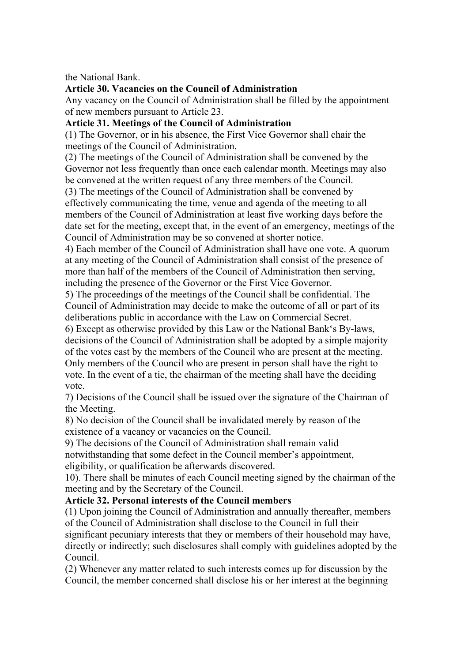the National Bank.

#### **Article 30. Vacancies on the Council of Administration**

Any vacancy on the Council of Administration shall be filled by the appointment of new members pursuant to Article 23.

#### **Article 31. Meetings of the Council of Administration**

(1) The Governor, or in his absence, the First Vice Governor shall chair the meetings of the Council of Administration.

(2) The meetings of the Council of Administration shall be convened by the Governor not less frequently than once each calendar month. Meetings may also be convened at the written request of any three members of the Council.

(3) The meetings of the Council of Administration shall be convened by effectively communicating the time, venue and agenda of the meeting to all members of the Council of Administration at least five working days before the date set for the meeting, except that, in the event of an emergency, meetings of the Council of Administration may be so convened at shorter notice.

4) Each member of the Council of Administration shall have one vote. A quorum at any meeting of the Council of Administration shall consist of the presence of more than half of the members of the Council of Administration then serving, including the presence of the Governor or the First Vice Governor.

5) The proceedings of the meetings of the Council shall be confidential. The Council of Administration may decide to make the outcome of all or part of its deliberations public in accordance with the Law on Commercial Secret.

6) Except as otherwise provided by this Law or the National Bank's By-laws, decisions of the Council of Administration shall be adopted by a simple majority of the votes cast by the members of the Council who are present at the meeting. Only members of the Council who are present in person shall have the right to vote. In the event of a tie, the chairman of the meeting shall have the deciding vote.

7) Decisions of the Council shall be issued over the signature of the Chairman of the Meeting.

8) No decision of the Council shall be invalidated merely by reason of the existence of a vacancy or vacancies on the Council.

9) The decisions of the Council of Administration shall remain valid notwithstanding that some defect in the Council member's appointment, eligibility, or qualification be afterwards discovered.

10). There shall be minutes of each Council meeting signed by the chairman of the meeting and by the Secretary of the Council.

## **Article 32. Personal interests of the Council members**

(1) Upon joining the Council of Administration and annually thereafter, members of the Council of Administration shall disclose to the Council in full their significant pecuniary interests that they or members of their household may have, directly or indirectly; such disclosures shall comply with guidelines adopted by the Council.

(2) Whenever any matter related to such interests comes up for discussion by the Council, the member concerned shall disclose his or her interest at the beginning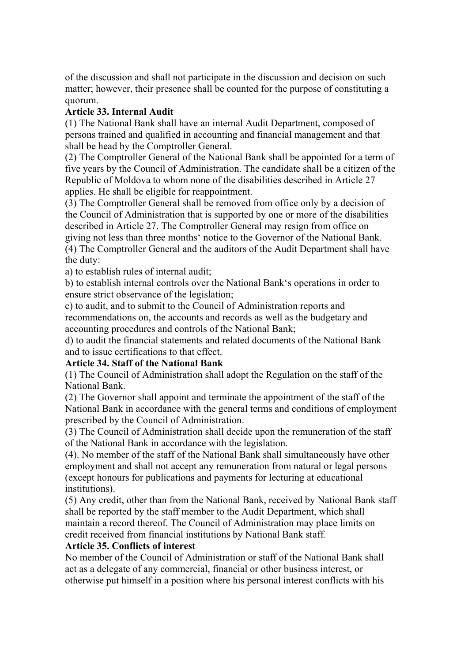of the discussion and shall not participate in the discussion and decision on such matter; however, their presence shall be counted for the purpose of constituting a quorum.

#### **Article 33. Internal Audit**

(1) The National Bank shall have an internal Audit Department, composed of persons trained and qualified in accounting and financial management and that shall be head by the Comptroller General.

(2) The Comptroller General of the National Bank shall be appointed for a term of five years by the Council of Administration. The candidate shall be a citizen of the Republic of Moldova to whom none of the disabilities described in Article 27 applies. He shall be eligible for reappointment.

(3) The Comptroller General shall be removed from office only by a decision of the Council of Administration that is supported by one or more of the disabilities described in Article 27. The Comptroller General may resign from office on giving not less than three months' notice to the Governor of the National Bank. (4) The Comptroller General and the auditors of the Audit Department shall have the duty:

a) to establish rules of internal audit;

b) to establish internal controls over the National Bank's operations in order to ensure strict observance of the legislation;

c) to audit, and to submit to the Council of Administration reports and recommendations on, the accounts and records as well as the budgetary and accounting procedures and controls of the National Bank;

d) to audit the financial statements and related documents of the National Bank and to issue certifications to that effect.

#### **Article 34. Staff of the National Bank**

(1) The Council of Administration shall adopt the Regulation on the staff of the National Bank.

(2) The Governor shall appoint and terminate the appointment of the staff of the National Bank in accordance with the general terms and conditions of employment prescribed by the Council of Administration.

(3) The Council of Administration shall decide upon the remuneration of the staff of the National Bank in accordance with the legislation.

(4). No member of the staff of the National Bank shall simultaneously have other employment and shall not accept any remuneration from natural or legal persons (except honours for publications and payments for lecturing at educational institutions).

(5) Any credit, other than from the National Bank, received by National Bank staff shall be reported by the staff member to the Audit Department, which shall maintain a record thereof. The Council of Administration may place limits on credit received from financial institutions by National Bank staff.

#### **Article 35. Conflicts of interest**

No member of the Council of Administration or staff of the National Bank shall act as a delegate of any commercial, financial or other business interest, or otherwise put himself in a position where his personal interest conflicts with his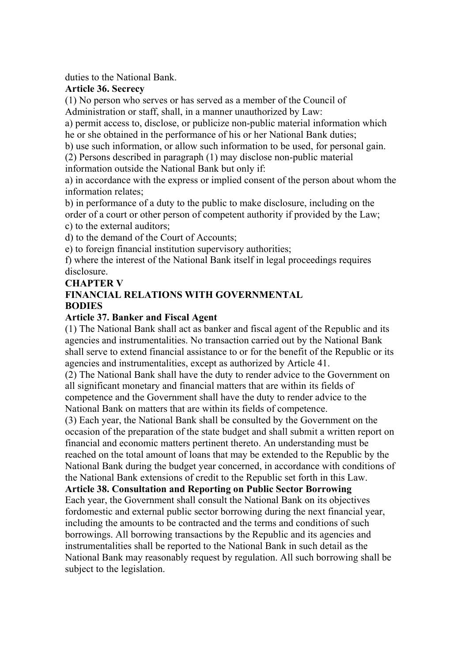duties to the National Bank.

#### **Article 36. Secrecy**

(1) No person who serves or has served as a member of the Council of Administration or staff, shall, in a manner unauthorized by Law:

a) permit access to, disclose, or publicize non-public material information which he or she obtained in the performance of his or her National Bank duties;

b) use such information, or allow such information to be used, for personal gain.

(2) Persons described in paragraph (1) may disclose non-public material information outside the National Bank but only if:

a) in accordance with the express or implied consent of the person about whom the information relates;

b) in performance of a duty to the public to make disclosure, including on the order of a court or other person of competent authority if provided by the Law;

c) to the external auditors;

d) to the demand of the Court of Accounts;

e) to foreign financial institution supervisory authorities;

f) where the interest of the National Bank itself in legal proceedings requires disclosure.

#### **CHAPTER V**

#### **FINANCIAL RELATIONS WITH GOVERNMENTAL BODIES**

#### **Article 37. Banker and Fiscal Agent**

(1) The National Bank shall act as banker and fiscal agent of the Republic and its agencies and instrumentalities. No transaction carried out by the National Bank shall serve to extend financial assistance to or for the benefit of the Republic or its agencies and instrumentalities, except as authorized by Article 41.

(2) The National Bank shall have the duty to render advice to the Government on all significant monetary and financial matters that are within its fields of competence and the Government shall have the duty to render advice to the National Bank on matters that are within its fields of competence.

(3) Each year, the National Bank shall be consulted by the Government on the occasion of the preparation of the state budget and shall submit a written report on financial and economic matters pertinent thereto. An understanding must be reached on the total amount of loans that may be extended to the Republic by the National Bank during the budget year concerned, in accordance with conditions of the National Bank extensions of credit to the Republic set forth in this Law.

**Article 38. Consultation and Reporting on Public Sector Borrowing**  Each year, the Government shall consult the National Bank on its objectives fordomestic and external public sector borrowing during the next financial year, including the amounts to be contracted and the terms and conditions of such borrowings. All borrowing transactions by the Republic and its agencies and instrumentalities shall be reported to the National Bank in such detail as the National Bank may reasonably request by regulation. All such borrowing shall be subject to the legislation.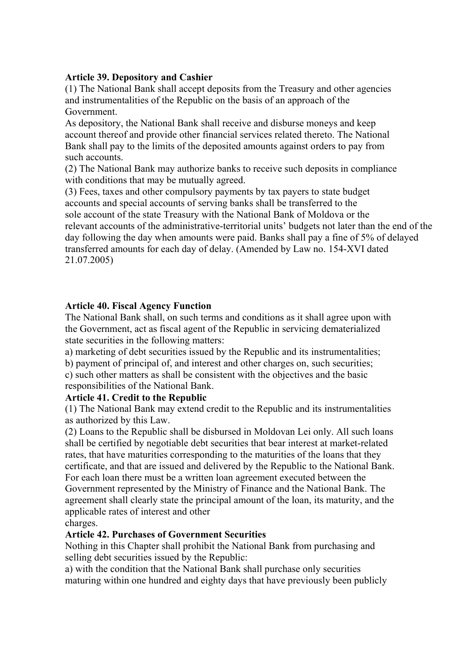#### **Article 39. Depository and Cashier**

(1) The National Bank shall accept deposits from the Treasury and other agencies and instrumentalities of the Republic on the basis of an approach of the Government.

As depository, the National Bank shall receive and disburse moneys and keep account thereof and provide other financial services related thereto. The National Bank shall pay to the limits of the deposited amounts against orders to pay from such accounts.

(2) The National Bank may authorize banks to receive such deposits in compliance with conditions that may be mutually agreed.

(3) Fees, taxes and other compulsory payments by tax payers to state budget accounts and special accounts of serving banks shall be transferred to the sole account of the state Treasury with the National Bank of Moldova or the relevant accounts of the administrative-territorial units' budgets not later than the end of the day following the day when amounts were paid. Banks shall pay a fine of 5% of delayed transferred amounts for each day of delay. (Amended by Law no. 154-XVI dated 21.07.2005)

#### **Article 40. Fiscal Agency Function**

The National Bank shall, on such terms and conditions as it shall agree upon with the Government, act as fiscal agent of the Republic in servicing dematerialized state securities in the following matters:

a) marketing of debt securities issued by the Republic and its instrumentalities;

b) payment of principal of, and interest and other charges on, such securities; c) such other matters as shall be consistent with the objectives and the basic responsibilities of the National Bank.

#### **Article 41. Credit to the Republic**

(1) The National Bank may extend credit to the Republic and its instrumentalities as authorized by this Law.

(2) Loans to the Republic shall be disbursed in Moldovan Lei only. All such loans shall be certified by negotiable debt securities that bear interest at market-related rates, that have maturities corresponding to the maturities of the loans that they certificate, and that are issued and delivered by the Republic to the National Bank. For each loan there must be a written loan agreement executed between the Government represented by the Ministry of Finance and the National Bank. The agreement shall clearly state the principal amount of the loan, its maturity, and the applicable rates of interest and other

charges.

#### **Article 42. Purchases of Government Securities**

Nothing in this Chapter shall prohibit the National Bank from purchasing and selling debt securities issued by the Republic:

a) with the condition that the National Bank shall purchase only securities maturing within one hundred and eighty days that have previously been publicly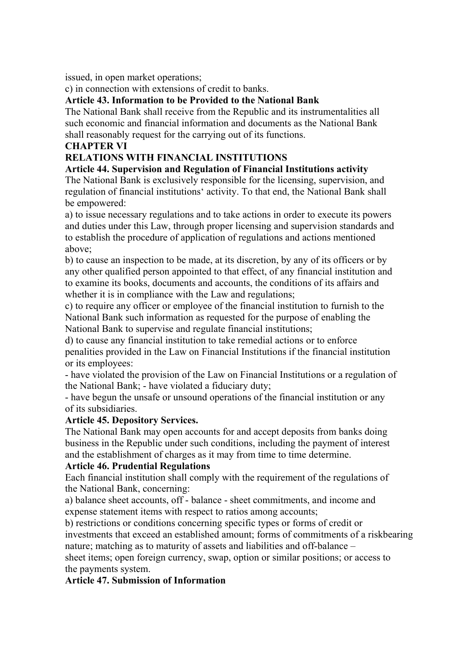issued, in open market operations;

c) in connection with extensions of credit to banks.

**Article 43. Information to be Provided to the National Bank** 

The National Bank shall receive from the Republic and its instrumentalities all such economic and financial information and documents as the National Bank shall reasonably request for the carrying out of its functions.

#### **CHAPTER VI**

## **RELATIONS WITH FINANCIAL INSTITUTIONS**

#### **Article 44. Supervision and Regulation of Financial Institutions activity**

The National Bank is exclusively responsible for the licensing, supervision, and regulation of financial institutions' activity. To that end, the National Bank shall be empowered:

a) to issue necessary regulations and to take actions in order to execute its powers and duties under this Law, through proper licensing and supervision standards and to establish the procedure of application of regulations and actions mentioned above;

b) to cause an inspection to be made, at its discretion, by any of its officers or by any other qualified person appointed to that effect, of any financial institution and to examine its books, documents and accounts, the conditions of its affairs and whether it is in compliance with the Law and regulations;

c) to require any officer or employee of the financial institution to furnish to the National Bank such information as requested for the purpose of enabling the National Bank to supervise and regulate financial institutions;

d) to cause any financial institution to take remedial actions or to enforce penalities provided in the Law on Financial Institutions if the financial institution or its employees:

- have violated the provision of the Law on Financial Institutions or a regulation of the National Bank; - have violated a fiduciary duty;

- have begun the unsafe or unsound operations of the financial institution or any of its subsidiaries.

#### **Article 45. Depository Services.**

The National Bank may open accounts for and accept deposits from banks doing business in the Republic under such conditions, including the payment of interest and the establishment of charges as it may from time to time determine.

#### **Article 46. Prudential Regulations**

Each financial institution shall comply with the requirement of the regulations of the National Bank, concerning:

a) balance sheet accounts, off - balance - sheet commitments, and income and expense statement items with respect to ratios among accounts;

b) restrictions or conditions concerning specific types or forms of credit or investments that exceed an established amount; forms of commitments of a riskbearing nature; matching as to maturity of assets and liabilities and off-balance –

sheet items; open foreign currency, swap, option or similar positions; or access to the payments system.

#### **Article 47. Submission of Information**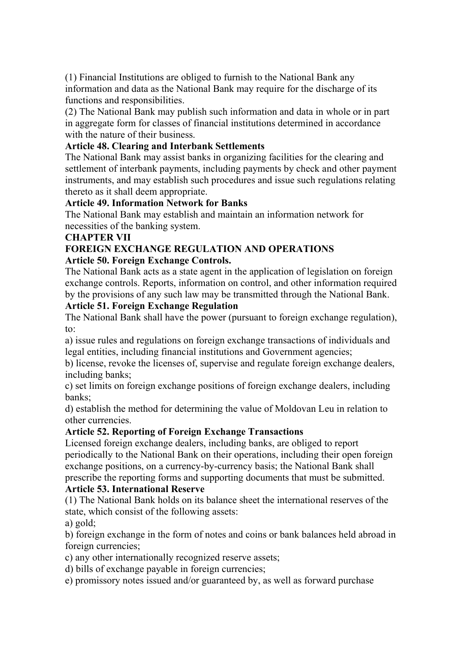(1) Financial Institutions are obliged to furnish to the National Bank any information and data as the National Bank may require for the discharge of its functions and responsibilities.

(2) The National Bank may publish such information and data in whole or in part in aggregate form for classes of financial institutions determined in accordance with the nature of their business.

#### **Article 48. Clearing and Interbank Settlements**

The National Bank may assist banks in organizing facilities for the clearing and settlement of interbank payments, including payments by check and other payment instruments, and may establish such procedures and issue such regulations relating thereto as it shall deem appropriate.

#### **Article 49. Information Network for Banks**

The National Bank may establish and maintain an information network for necessities of the banking system.

#### **CHAPTER VII**

#### **FOREIGN EXCHANGE REGULATION AND OPERATIONS Article 50. Foreign Exchange Controls.**

The National Bank acts as a state agent in the application of legislation on foreign exchange controls. Reports, information on control, and other information required by the provisions of any such law may be transmitted through the National Bank.

#### **Article 51. Foreign Exchange Regulation**

The National Bank shall have the power (pursuant to foreign exchange regulation), to:

a) issue rules and regulations on foreign exchange transactions of individuals and legal entities, including financial institutions and Government agencies;

b) license, revoke the licenses of, supervise and regulate foreign exchange dealers, including banks;

c) set limits on foreign exchange positions of foreign exchange dealers, including banks;

d) establish the method for determining the value of Moldovan Leu in relation to other currencies.

#### **Article 52. Reporting of Foreign Exchange Transactions**

Licensed foreign exchange dealers, including banks, are obliged to report periodically to the National Bank on their operations, including their open foreign exchange positions, on a currency-by-currency basis; the National Bank shall prescribe the reporting forms and supporting documents that must be submitted.

#### **Article 53. International Reserve**

(1) The National Bank holds on its balance sheet the international reserves of the state, which consist of the following assets:

a) gold;

b) foreign exchange in the form of notes and coins or bank balances held abroad in foreign currencies;

c) any other internationally recognized reserve assets;

d) bills of exchange payable in foreign currencies;

e) promissory notes issued and/or guaranteed by, as well as forward purchase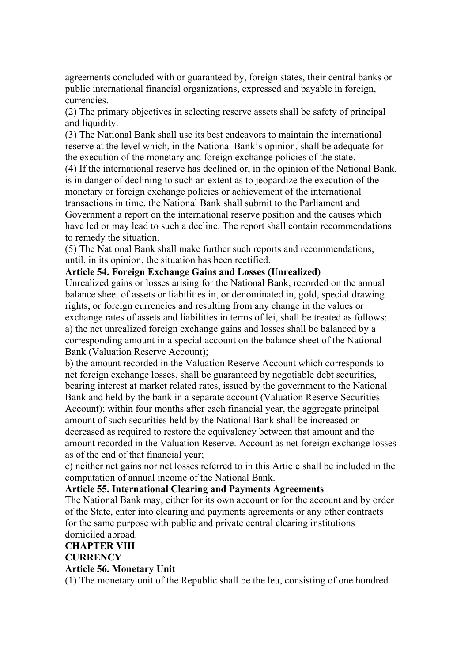agreements concluded with or guaranteed by, foreign states, their central banks or public international financial organizations, expressed and payable in foreign, currencies.

(2) The primary objectives in selecting reserve assets shall be safety of principal and liquidity.

(3) The National Bank shall use its best endeavors to maintain the international reserve at the level which, in the National Bank's opinion, shall be adequate for the execution of the monetary and foreign exchange policies of the state.

(4) If the international reserve has declined or, in the opinion of the National Bank, is in danger of declining to such an extent as to jeopardize the execution of the monetary or foreign exchange policies or achievement of the international transactions in time, the National Bank shall submit to the Parliament and Government a report on the international reserve position and the causes which have led or may lead to such a decline. The report shall contain recommendations to remedy the situation.

(5) The National Bank shall make further such reports and recommendations, until, in its opinion, the situation has been rectified.

#### **Article 54. Foreign Exchange Gains and Losses (Unrealized)**

Unrealized gains or losses arising for the National Bank, recorded on the annual balance sheet of assets or liabilities in, or denominated in, gold, special drawing rights, or foreign currencies and resulting from any change in the values or exchange rates of assets and liabilities in terms of lei, shall be treated as follows: a) the net unrealized foreign exchange gains and losses shall be balanced by a corresponding amount in a special account on the balance sheet of the National Bank (Valuation Reserve Account);

b) the amount recorded in the Valuation Reserve Account which corresponds to net foreign exchange losses, shall be guaranteed by negotiable debt securities, bearing interest at market related rates, issued by the government to the National Bank and held by the bank in a separate account (Valuation Reserve Securities Account); within four months after each financial year, the aggregate principal amount of such securities held by the National Bank shall be increased or decreased as required to restore the equivalency between that amount and the amount recorded in the Valuation Reserve. Account as net foreign exchange losses as of the end of that financial year;

c) neither net gains nor net losses referred to in this Article shall be included in the computation of annual income of the National Bank.

#### **Article 55. International Clearing and Payments Agreements**

The National Bank may, either for its own account or for the account and by order of the State, enter into clearing and payments agreements or any other contracts for the same purpose with public and private central clearing institutions domiciled abroad.

## **CHAPTER VIII CURRENCY**

#### **Article 56. Monetary Unit**

(1) The monetary unit of the Republic shall be the leu, consisting of one hundred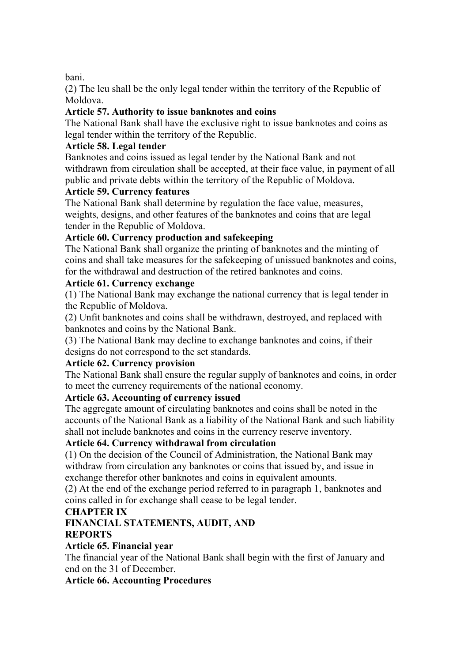#### bani.

(2) The leu shall be the only legal tender within the territory of the Republic of Moldova.

#### **Article 57. Authority to issue banknotes and coins**

The National Bank shall have the exclusive right to issue banknotes and coins as legal tender within the territory of the Republic.

#### **Article 58. Legal tender**

Banknotes and coins issued as legal tender by the National Bank and not withdrawn from circulation shall be accepted, at their face value, in payment of all public and private debts within the territory of the Republic of Moldova.

#### **Article 59. Currency features**

The National Bank shall determine by regulation the face value, measures, weights, designs, and other features of the banknotes and coins that are legal tender in the Republic of Moldova.

## **Article 60. Currency production and safekeeping**

The National Bank shall organize the printing of banknotes and the minting of coins and shall take measures for the safekeeping of unissued banknotes and coins, for the withdrawal and destruction of the retired banknotes and coins.

#### **Article 61. Currency exchange**

(1) The National Bank may exchange the national currency that is legal tender in the Republic of Moldova.

(2) Unfit banknotes and coins shall be withdrawn, destroyed, and replaced with banknotes and coins by the National Bank.

(3) The National Bank may decline to exchange banknotes and coins, if their designs do not correspond to the set standards.

#### **Article 62. Currency provision**

The National Bank shall ensure the regular supply of banknotes and coins, in order to meet the currency requirements of the national economy.

## **Article 63. Accounting of currency issued**

The aggregate amount of circulating banknotes and coins shall be noted in the accounts of the National Bank as a liability of the National Bank and such liability shall not include banknotes and coins in the currency reserve inventory.

#### **Article 64. Currency withdrawal from circulation**

(1) On the decision of the Council of Administration, the National Bank may withdraw from circulation any banknotes or coins that issued by, and issue in exchange therefor other banknotes and coins in equivalent amounts.

(2) At the end of the exchange period referred to in paragraph 1, banknotes and coins called in for exchange shall cease to be legal tender.

## **CHAPTER IX**

# **FINANCIAL STATEMENTS, AUDIT, AND**

#### **REPORTS**

#### **Article 65. Financial year**

The financial year of the National Bank shall begin with the first of January and end on the 31 of December.

## **Article 66. Accounting Procedures**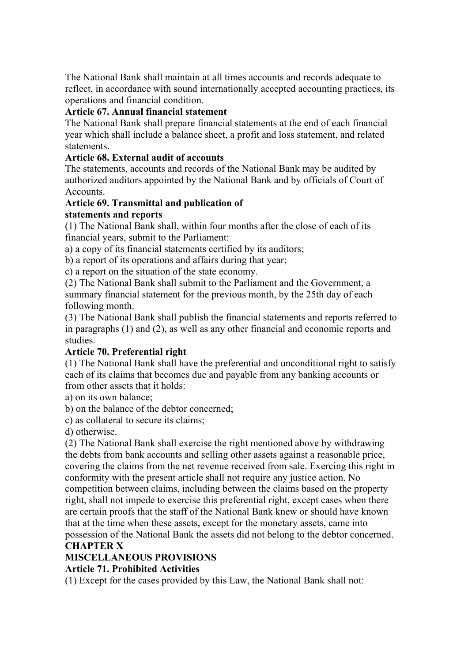The National Bank shall maintain at all times accounts and records adequate to reflect, in accordance with sound internationally accepted accounting practices, its operations and financial condition.

#### **Article 67. Annual financial statement**

The National Bank shall prepare financial statements at the end of each financial year which shall include a balance sheet, a profit and loss statement, and related statements.

#### **Article 68. External audit of accounts**

The statements, accounts and records of the National Bank may be audited by authorized auditors appointed by the National Bank and by officials of Court of Accounts.

#### **Article 69. Transmittal and publication of**

#### **statements and reports**

(1) The National Bank shall, within four months after the close of each of its financial years, submit to the Parliament:

a) a copy of its financial statements certified by its auditors;

b) a report of its operations and affairs during that year;

c) a report on the situation of the state economy.

(2) The National Bank shall submit to the Parliament and the Government, a summary financial statement for the previous month, by the 25th day of each following month.

(3) The National Bank shall publish the financial statements and reports referred to in paragraphs (1) and (2), as well as any other financial and economic reports and studies.

## **Article 70. Preferential right**

(1) The National Bank shall have the preferential and unconditional right to satisfy each of its claims that becomes due and payable from any banking accounts or from other assets that it holds:

a) on its own balance;

b) on the balance of the debtor concerned;

c) as collateral to secure its claims;

d) otherwise.

(2) The National Bank shall exercise the right mentioned above by withdrawing the debts from bank accounts and selling other assets against a reasonable price, covering the claims from the net revenue received from sale. Exercing this right in conformity with the present article shall not require any justice action. No competition between claims, including between the claims based on the property right, shall not impede to exercise this preferential right, except cases when there are certain proofs that the staff of the National Bank knew or should have known that at the time when these assets, except for the monetary assets, came into possession of the National Bank the assets did not belong to the debtor concerned.

#### **CHAPTER X**

## **MISCELLANEOUS PROVISIONS**

#### **Article 71. Prohibited Activities**

(1) Except for the cases provided by this Law, the National Bank shall not: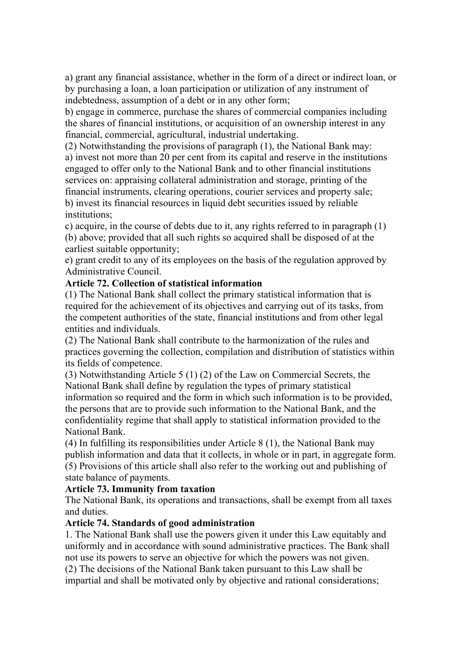a) grant any financial assistance, whether in the form of a direct or indirect loan, or by purchasing a loan, a loan participation or utilization of any instrument of indebtedness, assumption of a debt or in any other form;

b) engage in commerce, purchase the shares of commercial companies including the shares of financial institutions, or acquisition of an ownership interest in any financial, commercial, agricultural, industrial undertaking.

(2) Notwithstanding the provisions of paragraph (1), the National Bank may: a) invest not more than 20 per cent from its capital and reserve in the institutions engaged to offer only to the National Bank and to other financial institutions services on: appraising collateral administration and storage, printing of the financial instruments, clearing operations, courier services and property sale; b) invest its financial resources in liquid debt securities issued by reliable institutions;

c) acquire, in the course of debts due to it, any rights referred to in paragraph (1) (b) above; provided that all such rights so acquired shall be disposed of at the earliest suitable opportunity;

e) grant credit to any of its employees on the basis of the regulation approved by Administrative Council.

#### **Article 72. Collection of statistical information**

(1) The National Bank shall collect the primary statistical information that is required for the achievement of its objectives and carrying out of its tasks, from the competent authorities of the state, financial institutions and from other legal entities and individuals.

(2) The National Bank shall contribute to the harmonization of the rules and practices governing the collection, compilation and distribution of statistics within its fields of competence.

(3) Notwithstanding Article 5 (1) (2) of the Law on Commercial Secrets, the National Bank shall define by regulation the types of primary statistical information so required and the form in which such information is to be provided, the persons that are to provide such information to the National Bank, and the confidentiality regime that shall apply to statistical information provided to the National Bank.

(4) In fulfilling its responsibilities under Article 8 (1), the National Bank may publish information and data that it collects, in whole or in part, in aggregate form. (5) Provisions of this article shall also refer to the working out and publishing of state balance of payments.

#### **Article 73. Immunity from taxation**

The National Bank, its operations and transactions, shall be exempt from all taxes and duties.

## **Article 74. Standards of good administration**

1. The National Bank shall use the powers given it under this Law equitably and uniformly and in accordance with sound administrative practices. The Bank shall not use its powers to serve an objective for which the powers was not given.

(2) The decisions of the National Bank taken pursuant to this Law shall be impartial and shall be motivated only by objective and rational considerations;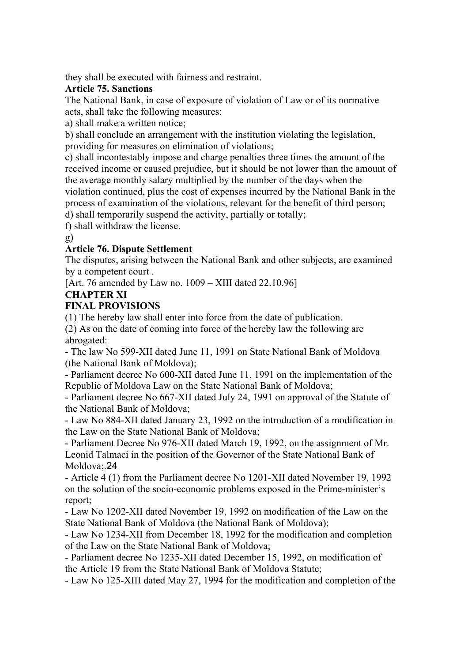they shall be executed with fairness and restraint.

#### **Article 75. Sanctions**

The National Bank, in case of exposure of violation of Law or of its normative acts, shall take the following measures:

a) shall make a written notice;

b) shall conclude an arrangement with the institution violating the legislation, providing for measures on elimination of violations;

c) shall incontestably impose and charge penalties three times the amount of the received income or caused prejudice, but it should be not lower than the amount of the average monthly salary multiplied by the number of the days when the violation continued, plus the cost of expenses incurred by the National Bank in the process of examination of the violations, relevant for the benefit of third person;

d) shall temporarily suspend the activity, partially or totally;

f) shall withdraw the license.

g)

#### **Article 76. Dispute Settlement**

The disputes, arising between the National Bank and other subjects, are examined by a competent court .

[Art. 76 amended by Law no. 1009 – XIII dated 22.10.96]

#### **CHAPTER XI**

#### **FINAL PROVISIONS**

(1) The hereby law shall enter into force from the date of publication.

(2) As on the date of coming into force of the hereby law the following are abrogated:

- The law No 599-XII dated June 11, 1991 on State National Bank of Moldova (the National Bank of Moldova);

- Parliament decree No 600-XII dated June 11, 1991 on the implementation of the Republic of Moldova Law on the State National Bank of Moldova;

- Parliament decree No 667-XII dated July 24, 1991 on approval of the Statute of the National Bank of Moldova;

- Law No 884-XII dated January 23, 1992 on the introduction of a modification in the Law on the State National Bank of Moldova;

- Parliament Decree No 976-XII dated March 19, 1992, on the assignment of Mr. Leonid Talmaci in the position of the Governor of the State National Bank of Moldova;.24

- Article 4 (1) from the Parliament decree No 1201-XII dated November 19, 1992 on the solution of the socio-economic problems exposed in the Prime-minister's report;

- Law No 1202-XII dated November 19, 1992 on modification of the Law on the State National Bank of Moldova (the National Bank of Moldova);

- Law No 1234-XII from December 18, 1992 for the modification and completion of the Law on the State National Bank of Moldova;

- Parliament decree No 1235-XII dated December 15, 1992, on modification of the Article 19 from the State National Bank of Moldova Statute;

- Law No 125-XIII dated May 27, 1994 for the modification and completion of the